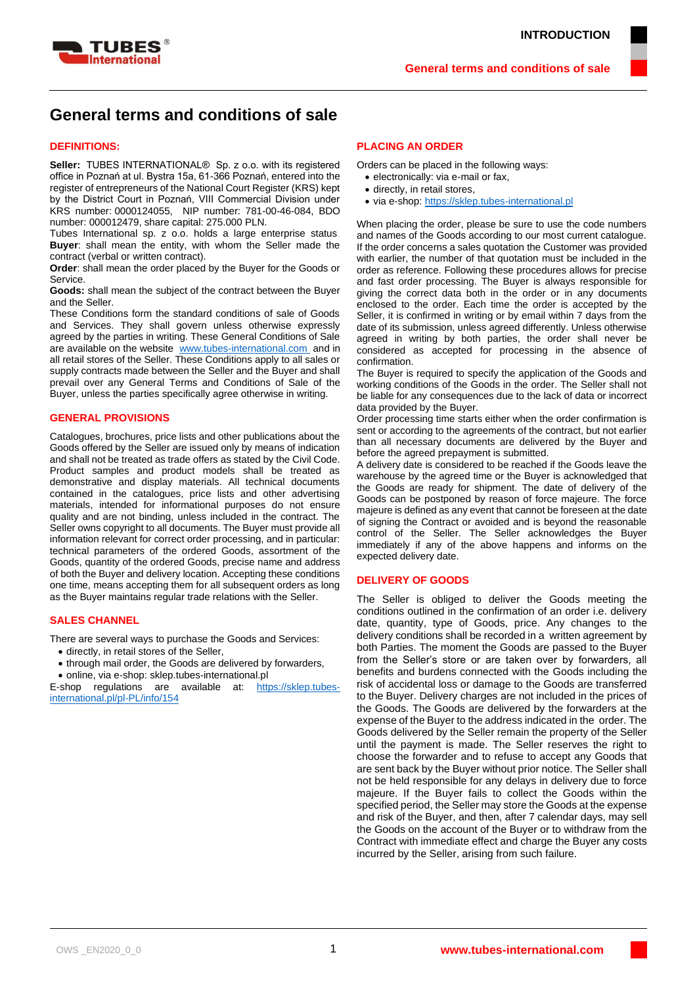

# **General terms and conditions of sale**

### **DEFINITIONS:**

**Seller:** TUBES INTERNATIONAL® Sp. z o.o. with its registered office in Poznań at ul. Bystra 15a, 61-366 Poznań, entered into the register of entrepreneurs of the National Court Register (KRS) kept by the District Court in Poznań, VIII Commercial Division under KRS number: 0000124055, NIP number: 781-00-46-084, BDO number: 000012479, share capital: 275.000 PLN.

Tubes International sp. z o.o. holds a large enterprise status. **Buyer**: shall mean the entity, with whom the Seller made the contract (verbal or written contract).

**Order**: shall mean the order placed by the Buyer for the Goods or Service.

**Goods:** shall mean the subject of the contract between the Buyer and the Seller.

These Conditions form the standard conditions of sale of Goods and Services. They shall govern unless otherwise expressly agreed by the parties in writing. These General Conditions of Sale are available on the website [www.tubes-international.com](http://www.tubes-international.com/) and in all retail stores of the Seller. These Conditions apply to all sales or supply contracts made between the Seller and the Buyer and shall prevail over any General Terms and Conditions of Sale of the Buyer, unless the parties specifically agree otherwise in writing.

### **GENERAL PROVISIONS**

Catalogues, brochures, price lists and other publications about the Goods offered by the Seller are issued only by means of indication and shall not be treated as trade offers as stated by the Civil Code. Product samples and product models shall be treated as demonstrative and display materials. All technical documents contained in the catalogues, price lists and other advertising materials, intended for informational purposes do not ensure quality and are not binding, unless included in the contract. The Seller owns copyright to all documents. The Buyer must provide all information relevant for correct order processing, and in particular: technical parameters of the ordered Goods, assortment of the Goods, quantity of the ordered Goods, precise name and address of both the Buyer and delivery location. Accepting these conditions one time, means accepting them for all subsequent orders as long as the Buyer maintains regular trade relations with the Seller.

#### **SALES CHANNEL**

There are several ways to purchase the Goods and Services:

- directly, in retail stores of the Seller,
- through mail order, the Goods are delivered by forwarders,
- online, via e-shop: sklep.tubes-international.pl

E-shop regulations are available at: [https://sklep.tubes](https://sklep.tubes-international.pl/pl-PL/info/154)[international.pl/pl-PL/info/154](https://sklep.tubes-international.pl/pl-PL/info/154)

### **PLACING AN ORDER**

Orders can be placed in the following ways:

- electronically: via e-mail or fax,
- directly, in retail stores,
- via e-shop: [https://sklep.tubes-international.pl](https://sklep.tubes-international.pl/)

When placing the order, please be sure to use the code numbers and names of the Goods according to our most current catalogue. If the order concerns a sales quotation the Customer was provided with earlier, the number of that quotation must be included in the order as reference. Following these procedures allows for precise and fast order processing. The Buyer is always responsible for giving the correct data both in the order or in any documents enclosed to the order. Each time the order is accepted by the Seller, it is confirmed in writing or by email within 7 days from the date of its submission, unless agreed differently. Unless otherwise agreed in writing by both parties, the order shall never be considered as accepted for processing in the absence of confirmation.

The Buyer is required to specify the application of the Goods and working conditions of the Goods in the order. The Seller shall not be liable for any consequences due to the lack of data or incorrect data provided by the Buyer.

Order processing time starts either when the order confirmation is sent or according to the agreements of the contract, but not earlier than all necessary documents are delivered by the Buyer and before the agreed prepayment is submitted.

A delivery date is considered to be reached if the Goods leave the warehouse by the agreed time or the Buyer is acknowledged that the Goods are ready for shipment. The date of delivery of the Goods can be postponed by reason of force majeure. The force majeure is defined as any event that cannot be foreseen at the date of signing the Contract or avoided and is beyond the reasonable control of the Seller. The Seller acknowledges the Buyer immediately if any of the above happens and informs on the expected delivery date.

### **DELIVERY OF GOODS**

The Seller is obliged to deliver the Goods meeting the conditions outlined in the confirmation of an order i.e. delivery date, quantity, type of Goods, price. Any changes to the delivery conditions shall be recorded in a written agreement by both Parties. The moment the Goods are passed to the Buyer from the Seller's store or are taken over by forwarders, all benefits and burdens connected with the Goods including the risk of accidental loss or damage to the Goods are transferred to the Buyer. Delivery charges are not included in the prices of the Goods. The Goods are delivered by the forwarders at the expense of the Buyer to the address indicated in the order. The Goods delivered by the Seller remain the property of the Seller until the payment is made. The Seller reserves the right to choose the forwarder and to refuse to accept any Goods that are sent back by the Buyer without prior notice. The Seller shall not be held responsible for any delays in delivery due to force majeure. If the Buyer fails to collect the Goods within the specified period, the Seller may store the Goods at the expense and risk of the Buyer, and then, after 7 calendar days, may sell the Goods on the account of the Buyer or to withdraw from the Contract with immediate effect and charge the Buyer any costs incurred by the Seller, arising from such failure.